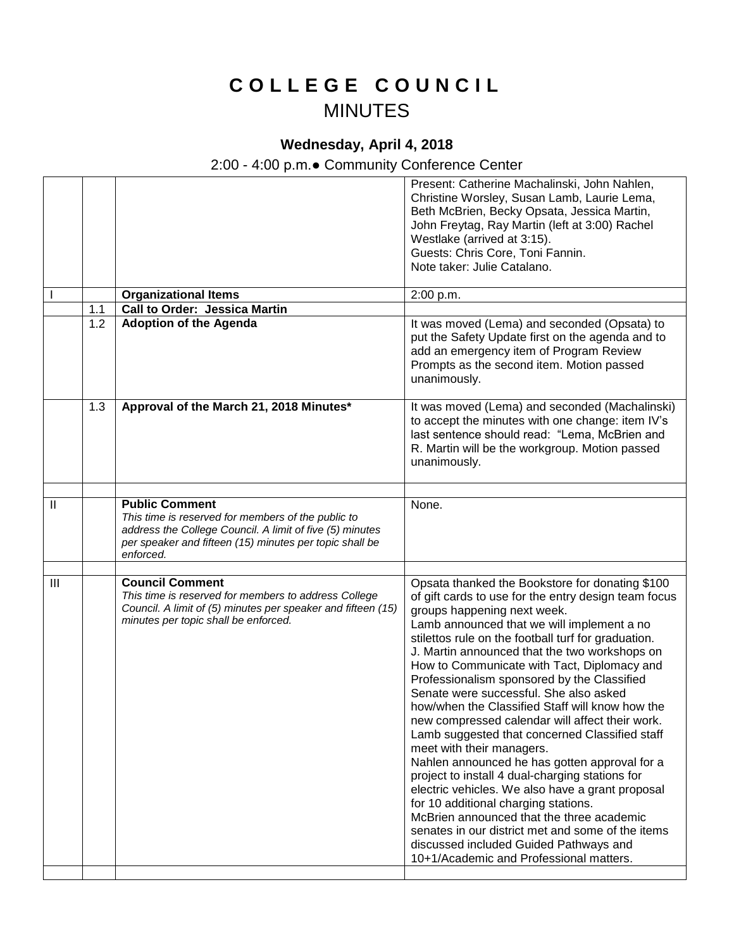## **C O L L E G E C O U N C I L** MINUTES

## **Wednesday, April 4, 2018**

## 2:00 - 4:00 p.m.● Community Conference Center

|                |     |                                                                                                                                                                                                                 | Present: Catherine Machalinski, John Nahlen,<br>Christine Worsley, Susan Lamb, Laurie Lema,<br>Beth McBrien, Becky Opsata, Jessica Martin,<br>John Freytag, Ray Martin (left at 3:00) Rachel<br>Westlake (arrived at 3:15).<br>Guests: Chris Core, Toni Fannin.<br>Note taker: Julie Catalano.                                                                                                                                                                                                                                                                                                                                                                                                                                                                                                                                                                                                                                                                |
|----------------|-----|-----------------------------------------------------------------------------------------------------------------------------------------------------------------------------------------------------------------|---------------------------------------------------------------------------------------------------------------------------------------------------------------------------------------------------------------------------------------------------------------------------------------------------------------------------------------------------------------------------------------------------------------------------------------------------------------------------------------------------------------------------------------------------------------------------------------------------------------------------------------------------------------------------------------------------------------------------------------------------------------------------------------------------------------------------------------------------------------------------------------------------------------------------------------------------------------|
|                |     | <b>Organizational Items</b>                                                                                                                                                                                     | 2:00 p.m.                                                                                                                                                                                                                                                                                                                                                                                                                                                                                                                                                                                                                                                                                                                                                                                                                                                                                                                                                     |
|                | 1.1 | <b>Call to Order: Jessica Martin</b>                                                                                                                                                                            |                                                                                                                                                                                                                                                                                                                                                                                                                                                                                                                                                                                                                                                                                                                                                                                                                                                                                                                                                               |
|                | 1.2 | <b>Adoption of the Agenda</b>                                                                                                                                                                                   | It was moved (Lema) and seconded (Opsata) to<br>put the Safety Update first on the agenda and to<br>add an emergency item of Program Review<br>Prompts as the second item. Motion passed<br>unanimously.                                                                                                                                                                                                                                                                                                                                                                                                                                                                                                                                                                                                                                                                                                                                                      |
|                | 1.3 | Approval of the March 21, 2018 Minutes*                                                                                                                                                                         | It was moved (Lema) and seconded (Machalinski)<br>to accept the minutes with one change: item IV's<br>last sentence should read: "Lema, McBrien and<br>R. Martin will be the workgroup. Motion passed<br>unanimously.                                                                                                                                                                                                                                                                                                                                                                                                                                                                                                                                                                                                                                                                                                                                         |
| $\mathbf{I}$   |     | <b>Public Comment</b><br>This time is reserved for members of the public to<br>address the College Council. A limit of five (5) minutes<br>per speaker and fifteen (15) minutes per topic shall be<br>enforced. | None.                                                                                                                                                                                                                                                                                                                                                                                                                                                                                                                                                                                                                                                                                                                                                                                                                                                                                                                                                         |
| $\mathbf{III}$ |     | <b>Council Comment</b>                                                                                                                                                                                          | Opsata thanked the Bookstore for donating \$100                                                                                                                                                                                                                                                                                                                                                                                                                                                                                                                                                                                                                                                                                                                                                                                                                                                                                                               |
|                |     | This time is reserved for members to address College<br>Council. A limit of (5) minutes per speaker and fifteen (15)<br>minutes per topic shall be enforced.                                                    | of gift cards to use for the entry design team focus<br>groups happening next week.<br>Lamb announced that we will implement a no<br>stilettos rule on the football turf for graduation.<br>J. Martin announced that the two workshops on<br>How to Communicate with Tact, Diplomacy and<br>Professionalism sponsored by the Classified<br>Senate were successful. She also asked<br>how/when the Classified Staff will know how the<br>new compressed calendar will affect their work.<br>Lamb suggested that concerned Classified staff<br>meet with their managers.<br>Nahlen announced he has gotten approval for a<br>project to install 4 dual-charging stations for<br>electric vehicles. We also have a grant proposal<br>for 10 additional charging stations.<br>McBrien announced that the three academic<br>senates in our district met and some of the items<br>discussed included Guided Pathways and<br>10+1/Academic and Professional matters. |